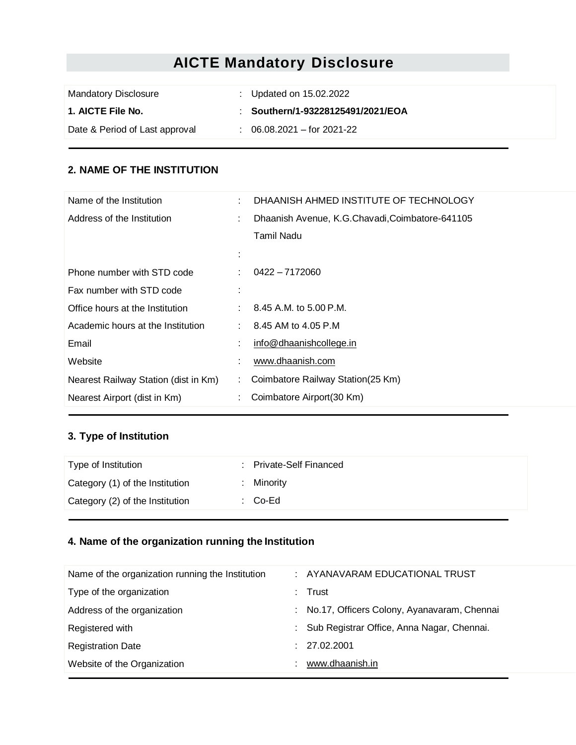# **AICTE Mandatory Disclosure**

| <b>Mandatory Disclosure</b>    | : Updated on $15.02.2022$             |
|--------------------------------|---------------------------------------|
| 1. AICTE File No.              | : Southern/1-93228125491/2021/EOA     |
| Date & Period of Last approval | $\therefore$ 06.08.2021 – for 2021-22 |

#### **2. NAME OF THE INSTITUTION**

| Name of the Institution              | DHAANISH AHMED INSTITUTE OF TECHNOLOGY          |
|--------------------------------------|-------------------------------------------------|
| Address of the Institution           | Dhaanish Avenue, K.G.Chavadi, Coimbatore-641105 |
|                                      | Tamil Nadu                                      |
|                                      |                                                 |
| Phone number with STD code           | $0422 - 7172060$                                |
| Fax number with STD code             |                                                 |
| Office hours at the Institution      | 8.45 A.M. to 5.00 P.M.                          |
| Academic hours at the Institution    | 8.45 AM to 4.05 P.M                             |
| Email                                | info@dhaanishcollege.in                         |
| Website                              | www.dhaanish.com                                |
| Nearest Railway Station (dist in Km) | Coimbatore Railway Station(25 Km)               |
| Nearest Airport (dist in Km)         | Coimbatore Airport (30 Km)                      |

## **3. Type of Institution**

| Type of Institution             | : Private-Self Financed |
|---------------------------------|-------------------------|
| Category (1) of the Institution | : Minority              |
| Category (2) of the Institution | : Co-Ed                 |
|                                 |                         |

# **4. Name of the organization running the Institution**

| : AYANAVARAM EDUCATIONAL TRUST                |
|-----------------------------------------------|
| $:$ Trust                                     |
| : No.17, Officers Colony, Ayanavaram, Chennai |
| : Sub Registrar Office, Anna Nagar, Chennai.  |
| : 27.02.2001                                  |
| www.dhaanish.in                               |
|                                               |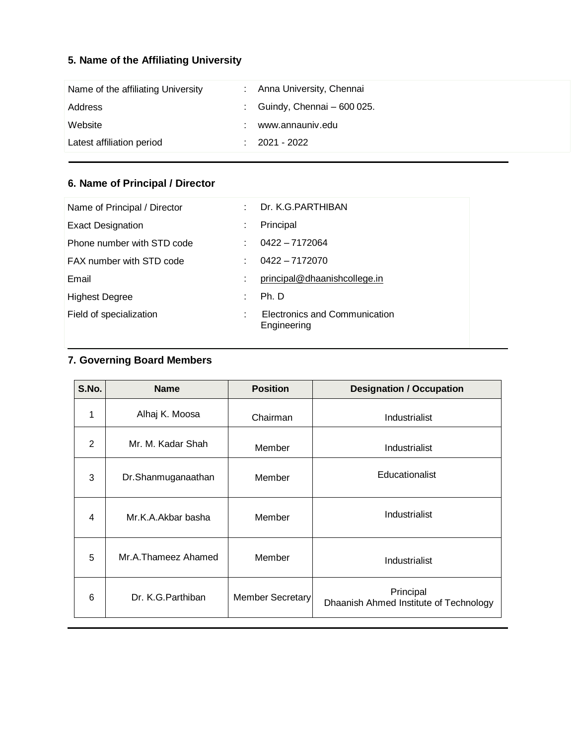# **5. Name of the Affiliating University**

| Name of the affiliating University | Anna University, Chennai   |
|------------------------------------|----------------------------|
| Address                            | Guindy, Chennai - 600 025. |
| Website                            | www.annauniv.edu           |
| Latest affiliation period          | 2021 - 2022                |

# **6. Name of Principal / Director**

| Name of Principal / Director | $\bullet$ | Dr. K.G. PARTHIBAN                           |
|------------------------------|-----------|----------------------------------------------|
|                              |           |                                              |
| <b>Exact Designation</b>     | ٠         | Principal                                    |
| Phone number with STD code   | ٠         | $0422 - 7172064$                             |
| FAX number with STD code     |           | $0422 - 7172070$                             |
| Email                        | ٠         | principal@dhaanishcollege.in                 |
| <b>Highest Degree</b>        | ٠         | Ph. D                                        |
| Field of specialization      | ٠         | Electronics and Communication<br>Engineering |

# **7. Governing Board Members**

| S.No.          | <b>Name</b>         | <b>Position</b>  | <b>Designation / Occupation</b>                     |
|----------------|---------------------|------------------|-----------------------------------------------------|
| 1              | Alhaj K. Moosa      | Chairman         | Industrialist                                       |
| $\overline{2}$ | Mr. M. Kadar Shah   | Member           | Industrialist                                       |
| 3              | Dr.Shanmuganaathan  | Member           | Educationalist                                      |
| 4              | Mr.K.A.Akbar basha  | Member           | Industrialist                                       |
| 5              | Mr.A.Thameez Ahamed | Member           | Industrialist                                       |
| 6              | Dr. K.G. Parthiban  | Member Secretary | Principal<br>Dhaanish Ahmed Institute of Technology |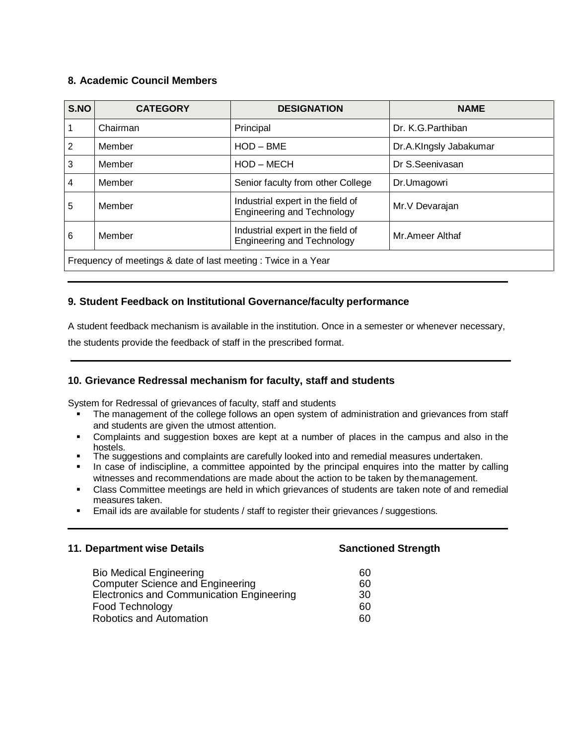#### **8. Academic Council Members**

| S.NO                                                          | <b>CATEGORY</b> | <b>DESIGNATION</b>                                                     | <b>NAME</b>            |
|---------------------------------------------------------------|-----------------|------------------------------------------------------------------------|------------------------|
|                                                               | Chairman        | Principal                                                              | Dr. K.G. Parthiban     |
| 2                                                             | Member          | $HOD - BME$                                                            | Dr.A.KIngsly Jabakumar |
| 3                                                             | Member          | HOD - MECH                                                             | Dr S.Seenivasan        |
| 4                                                             | Member          | Senior faculty from other College                                      | Dr.Umagowri            |
| 5                                                             | Member          | Industrial expert in the field of<br><b>Engineering and Technology</b> | Mr. V Devarajan        |
| 6                                                             | Member          | Industrial expert in the field of<br><b>Engineering and Technology</b> | Mr. Ameer Althaf       |
| Frequency of meetings & date of last meeting: Twice in a Year |                 |                                                                        |                        |

#### **9. Student Feedback on Institutional Governance/faculty performance**

A student feedback mechanism is available in the institution. Once in a semester or whenever necessary,

the students provide the feedback of staff in the prescribed format.

#### **10. Grievance Redressal mechanism for faculty, staff and students**

System for Redressal of grievances of faculty, staff and students

- The management of the college follows an open system of administration and grievances from staff and students are given the utmost attention.
- Complaints and suggestion boxes are kept at a number of places in the campus and also in the hostels.
- The suggestions and complaints are carefully looked into and remedial measures undertaken.<br>In case of indiscipline, a committee appointed by the principal enquires into the matter by c
- In case of indiscipline, a committee appointed by the principal enquires into the matter by calling witnesses and recommendations are made about the action to be taken by themanagement.
- Class Committee meetings are held in which grievances of students are taken note of and remedial measures taken.
- Email ids are available for students / staff to register their grievances / suggestions.

#### **11. Department wise Details Sanctioned Strength**

Bio Medical Engineering Computer Science and Engineering 60 60<br>30 Electronics and Communication Engineering 30 Food Technology 60 Robotics and Automation 60